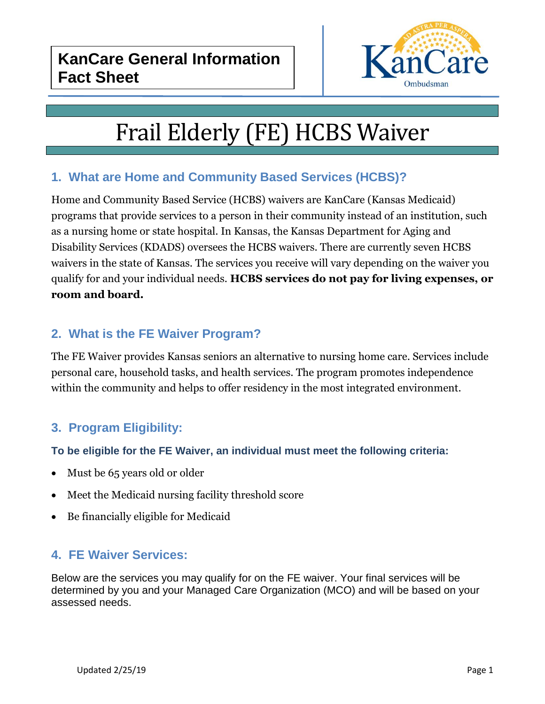

# Frail Elderly (FE) HCBS Waiver

# **1. What are Home and Community Based Services (HCBS)?**

Home and Community Based Service (HCBS) waivers are KanCare (Kansas Medicaid) programs that provide services to a person in their community instead of an institution, such as a nursing home or state hospital. In Kansas, the Kansas Department for Aging and Disability Services (KDADS) oversees the HCBS waivers. There are currently seven HCBS waivers in the state of Kansas. The services you receive will vary depending on the waiver you qualify for and your individual needs. **HCBS services do not pay for living expenses, or room and board.**

# **2. What is the FE Waiver Program?**

The FE Waiver provides Kansas seniors an alternative to nursing home care. Services include personal care, household tasks, and health services. The program promotes independence within the community and helps to offer residency in the most integrated environment.

# **3. Program Eligibility:**

#### **To be eligible for the FE Waiver, an individual must meet the following criteria:**

- Must be 65 years old or older
- Meet the Medicaid nursing facility threshold score
- Be financially eligible for Medicaid

## **4. FE Waiver Services:**

Below are the services you may qualify for on the FE waiver. Your final services will be determined by you and your Managed Care Organization (MCO) and will be based on your assessed needs.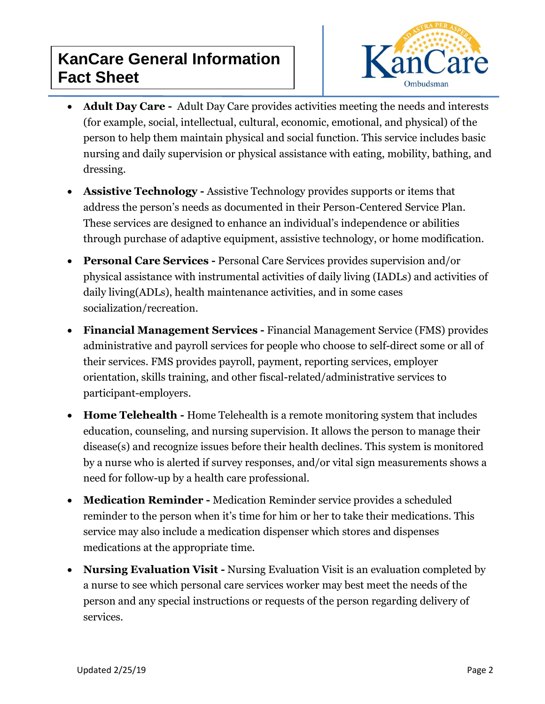

- **Adult Day Care -** Adult Day Care provides activities meeting the needs and interests (for example, social, intellectual, cultural, economic, emotional, and physical) of the person to help them maintain physical and social function. This service includes basic nursing and daily supervision or physical assistance with eating, mobility, bathing, and dressing.
- **Assistive Technology -** Assistive Technology provides supports or items that address the person's needs as documented in their Person-Centered Service Plan. These services are designed to enhance an individual's independence or abilities through purchase of adaptive equipment, assistive technology, or home modification.
- **Personal Care Services -** Personal Care Services provides supervision and/or physical assistance with instrumental activities of daily living (IADLs) and activities of daily living(ADLs), health maintenance activities, and in some cases socialization/recreation.
- **Financial Management Services -** Financial Management Service (FMS) provides administrative and payroll services for people who choose to self-direct some or all of their services. FMS provides payroll, payment, reporting services, employer orientation, skills training, and other fiscal-related/administrative services to participant-employers.
- **Home Telehealth -** Home Telehealth is a remote monitoring system that includes education, counseling, and nursing supervision. It allows the person to manage their disease(s) and recognize issues before their health declines. This system is monitored by a nurse who is alerted if survey responses, and/or vital sign measurements shows a need for follow-up by a health care professional.
- **Medication Reminder -** Medication Reminder service provides a scheduled reminder to the person when it's time for him or her to take their medications. This service may also include a medication dispenser which stores and dispenses medications at the appropriate time.
- **Nursing Evaluation Visit -** Nursing Evaluation Visit is an evaluation completed by a nurse to see which personal care services worker may best meet the needs of the person and any special instructions or requests of the person regarding delivery of services.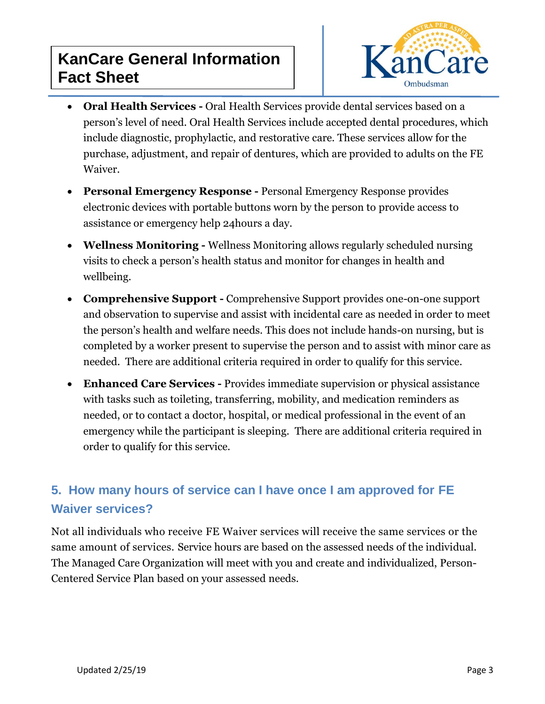

- **Oral Health Services -** Oral Health Services provide dental services based on a person's level of need. Oral Health Services include accepted dental procedures, which include diagnostic, prophylactic, and restorative care. These services allow for the purchase, adjustment, and repair of dentures, which are provided to adults on the FE Waiver.
- **Personal Emergency Response -** Personal Emergency Response provides electronic devices with portable buttons worn by the person to provide access to assistance or emergency help 24hours a day.
- **Wellness Monitoring -** Wellness Monitoring allows regularly scheduled nursing visits to check a person's health status and monitor for changes in health and wellbeing.
- **Comprehensive Support -** Comprehensive Support provides one-on-one support and observation to supervise and assist with incidental care as needed in order to meet the person's health and welfare needs. This does not include hands-on nursing, but is completed by a worker present to supervise the person and to assist with minor care as needed. There are additional criteria required in order to qualify for this service.
- **Enhanced Care Services -** Provides immediate supervision or physical assistance with tasks such as toileting, transferring, mobility, and medication reminders as needed, or to contact a doctor, hospital, or medical professional in the event of an emergency while the participant is sleeping. There are additional criteria required in order to qualify for this service.

# **5. How many hours of service can I have once I am approved for FE Waiver services?**

Not all individuals who receive FE Waiver services will receive the same services or the same amount of services. Service hours are based on the assessed needs of the individual. The Managed Care Organization will meet with you and create and individualized, Person-Centered Service Plan based on your assessed needs.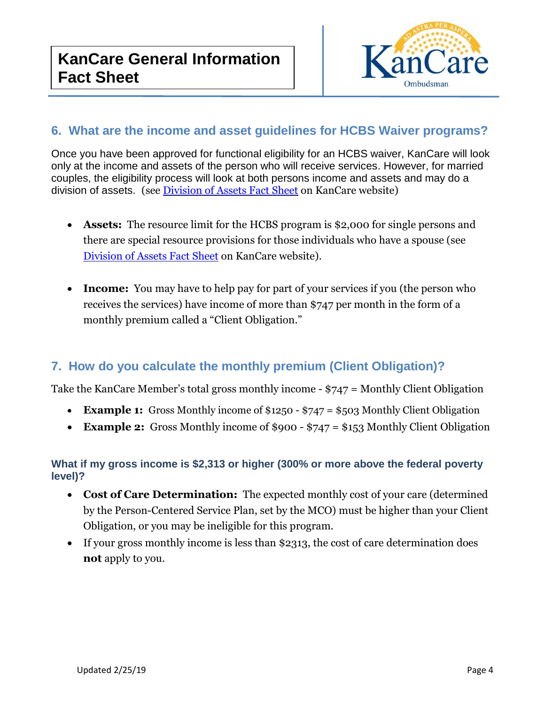

## **6. What are the income and asset guidelines for HCBS Waiver programs?**

Once you have been approved for functional eligibility for an HCBS waiver, KanCare will look only at the income and assets of the person who will receive services. However, for married couples, the eligibility process will look at both persons income and assets and may do a division of assets. (see [Division of Assets Fact Sheet](https://www.kancare.ks.gov/docs/default-source/Consumers/benefits-and-services/fact-sheets/divisions-of-assets_01-18.pdf?sfvrsn=76e04d1b_6) on KanCare website)

- **Assets:** The resource limit for the HCBS program is \$2,000 for single persons and there are special resource provisions for those individuals who have a spouse (see [Division of Assets Fact Sheet](https://www.kancare.ks.gov/docs/default-source/Consumers/benefits-and-services/fact-sheets/divisions-of-assets_01-18.pdf?sfvrsn=76e04d1b_6) on KanCare website).
- **Income:** You may have to help pay for part of your services if you (the person who receives the services) have income of more than \$747 per month in the form of a monthly premium called a "Client Obligation."

## **7. How do you calculate the monthly premium (Client Obligation)?**

Take the KanCare Member's total gross monthly income - \$747 = Monthly Client Obligation

- **Example 1:** Gross Monthly income of \$1250 \$747 = \$503 Monthly Client Obligation
- **Example 2:** Gross Monthly income of \$900 \$747 = \$153 Monthly Client Obligation

#### **What if my gross income is \$2,313 or higher (300% or more above the federal poverty level)?**

- **Cost of Care Determination:** The expected monthly cost of your care (determined by the Person-Centered Service Plan, set by the MCO) must be higher than your Client Obligation, or you may be ineligible for this program.
- If your gross monthly income is less than \$2313, the cost of care determination does **not** apply to you.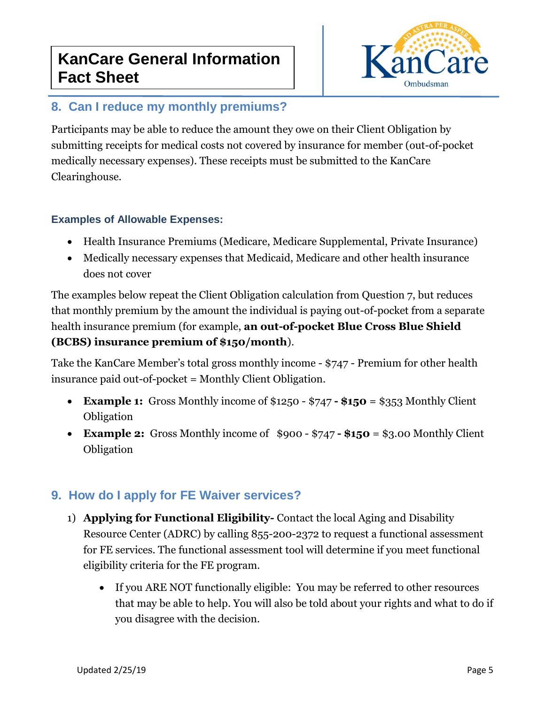

# **8. Can I reduce my monthly premiums?**

Participants may be able to reduce the amount they owe on their Client Obligation by submitting receipts for medical costs not covered by insurance for member (out-of-pocket medically necessary expenses). These receipts must be submitted to the KanCare Clearinghouse.

#### **Examples of Allowable Expenses:**

- Health Insurance Premiums (Medicare, Medicare Supplemental, Private Insurance)
- Medically necessary expenses that Medicaid, Medicare and other health insurance does not cover

The examples below repeat the Client Obligation calculation from Question 7, but reduces that monthly premium by the amount the individual is paying out-of-pocket from a separate health insurance premium (for example, **an out-of-pocket Blue Cross Blue Shield (BCBS) insurance premium of \$150/month**).

Take the KanCare Member's total gross monthly income - \$747 - Premium for other health insurance paid out-of-pocket = Monthly Client Obligation.

- **Example 1:** Gross Monthly income of \$1250 \$747 **- \$150** = \$353 Monthly Client Obligation
- **Example 2:** Gross Monthly income of \$900 \$747 **- \$150** = \$3.00 Monthly Client Obligation

# **9. How do I apply for FE Waiver services?**

- 1) **Applying for Functional Eligibility-** Contact the local Aging and Disability Resource Center (ADRC) by calling 855-200-2372 to request a functional assessment for FE services. The functional assessment tool will determine if you meet functional eligibility criteria for the FE program.
	- If you ARE NOT functionally eligible: You may be referred to other resources that may be able to help. You will also be told about your rights and what to do if you disagree with the decision.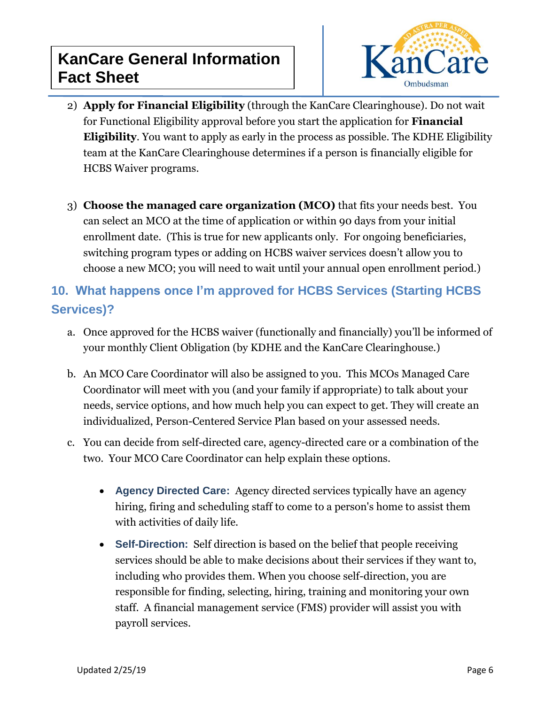

- 2) **Apply for Financial Eligibility** (through the KanCare Clearinghouse). Do not wait for Functional Eligibility approval before you start the application for **Financial Eligibility**. You want to apply as early in the process as possible. The KDHE Eligibility team at the KanCare Clearinghouse determines if a person is financially eligible for HCBS Waiver programs.
- 3) **Choose the managed care organization (MCO)** that fits your needs best. You can select an MCO at the time of application or within 90 days from your initial enrollment date. (This is true for new applicants only. For ongoing beneficiaries, switching program types or adding on HCBS waiver services doesn't allow you to choose a new MCO; you will need to wait until your annual open enrollment period.)

# **10. What happens once I'm approved for HCBS Services (Starting HCBS Services)?**

- a. Once approved for the HCBS waiver (functionally and financially) you'll be informed of your monthly Client Obligation (by KDHE and the KanCare Clearinghouse.)
- b. An MCO Care Coordinator will also be assigned to you. This MCOs Managed Care Coordinator will meet with you (and your family if appropriate) to talk about your needs, service options, and how much help you can expect to get. They will create an individualized, Person-Centered Service Plan based on your assessed needs.
- c. You can decide from self-directed care, agency-directed care or a combination of the two. Your MCO Care Coordinator can help explain these options.
	- **Agency Directed Care:** Agency directed services typically have an agency hiring, firing and scheduling staff to come to a person's home to assist them with activities of daily life.
	- **Self-Direction:** Self direction is based on the belief that people receiving services should be able to make decisions about their services if they want to, including who provides them. When you choose self-direction, you are responsible for finding, selecting, hiring, training and monitoring your own staff. A financial management service (FMS) provider will assist you with payroll services.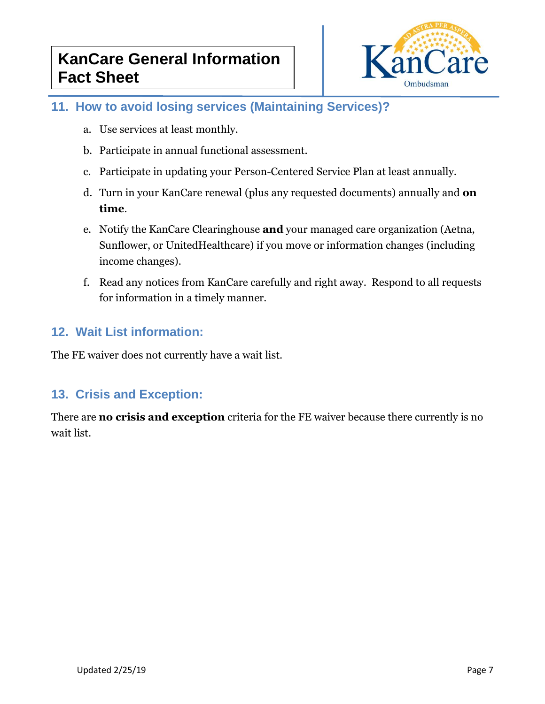

# **11. How to avoid losing services (Maintaining Services)?**

- a. Use services at least monthly.
- b. Participate in annual functional assessment.
- c. Participate in updating your Person-Centered Service Plan at least annually.
- d. Turn in your KanCare renewal (plus any requested documents) annually and **on time**.
- e. Notify the KanCare Clearinghouse **and** your managed care organization (Aetna, Sunflower, or UnitedHealthcare) if you move or information changes (including income changes).
- f. Read any notices from KanCare carefully and right away. Respond to all requests for information in a timely manner.

## **12. Wait List information:**

The FE waiver does not currently have a wait list.

## **13. Crisis and Exception:**

There are **no crisis and exception** criteria for the FE waiver because there currently is no wait list.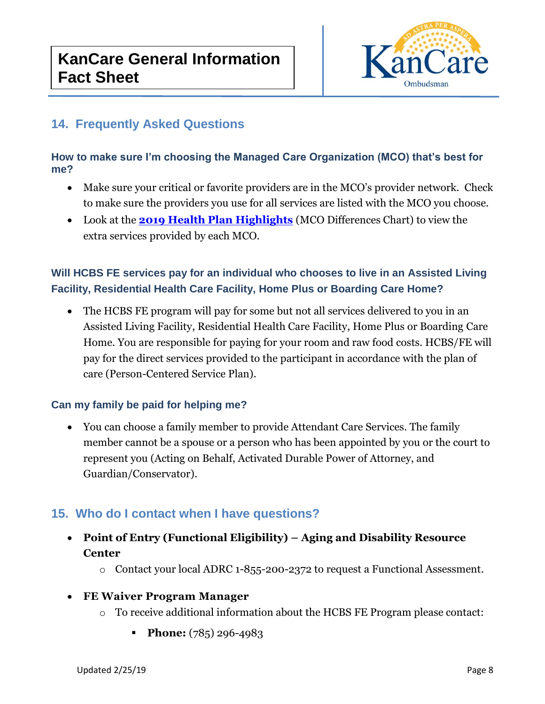

# **14. Frequently Asked Questions**

#### **How to make sure I'm choosing the Managed Care Organization (MCO) that's best for me?**

- Make sure your critical or favorite providers are in the MCO's provider network. Check to make sure the providers you use for all services are listed with the MCO you choose.
- Look at the **[2019 Health Plan Highlights](https://www.kancare.ks.gov/consumers/benefits-services)** (MCO Differences Chart) to view the extra services provided by each MCO.

## **Will HCBS FE services pay for an individual who chooses to live in an Assisted Living Facility, Residential Health Care Facility, Home Plus or Boarding Care Home?**

• The HCBS FE program will pay for some but not all services delivered to you in an Assisted Living Facility, Residential Health Care Facility, Home Plus or Boarding Care Home. You are responsible for paying for your room and raw food costs. HCBS/FE will pay for the direct services provided to the participant in accordance with the plan of care (Person-Centered Service Plan).

#### **Can my family be paid for helping me?**

• You can choose a family member to provide Attendant Care Services. The family member cannot be a spouse or a person who has been appointed by you or the court to represent you (Acting on Behalf, Activated Durable Power of Attorney, and Guardian/Conservator).

# **15. Who do I contact when I have questions?**

- **Point of Entry (Functional Eligibility) – Aging and Disability Resource Center**
	- o Contact your local ADRC 1-855-200-2372 to request a Functional Assessment.
- **FE Waiver Program Manager**
	- $\circ$  To receive additional information about the HCBS FE Program please contact:
		- **•** Phone: (785) 296-4983